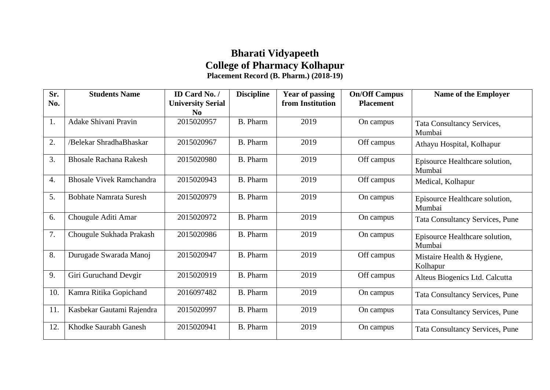## **Bharati Vidyapeeth College of Pharmacy Kolhapur Placement Record (B. Pharm.) (2018-19)**

| Sr.<br>No. | <b>Students Name</b>            | ID Card No. /                        | <b>Discipline</b> | <b>Year of passing</b><br>from Institution | <b>On/Off Campus</b><br><b>Placement</b> | <b>Name of the Employer</b>              |
|------------|---------------------------------|--------------------------------------|-------------------|--------------------------------------------|------------------------------------------|------------------------------------------|
|            |                                 | <b>University Serial</b><br>$\bf No$ |                   |                                            |                                          |                                          |
| 1.         | Adake Shivani Pravin            | 2015020957                           | <b>B.</b> Pharm   | 2019                                       | On campus                                | Tata Consultancy Services,<br>Mumbai     |
| 2.         | /Belekar ShradhaBhaskar         | 2015020967                           | <b>B.</b> Pharm   | 2019                                       | Off campus                               | Athayu Hospital, Kolhapur                |
| 3.         | <b>Bhosale Rachana Rakesh</b>   | 2015020980                           | <b>B.</b> Pharm   | 2019                                       | Off campus                               | Episource Healthcare solution,<br>Mumbai |
| 4.         | <b>Bhosale Vivek Ramchandra</b> | 2015020943                           | <b>B.</b> Pharm   | 2019                                       | Off campus                               | Medical, Kolhapur                        |
| 5.         | <b>Bobhate Namrata Suresh</b>   | 2015020979                           | <b>B.</b> Pharm   | 2019                                       | On campus                                | Episource Healthcare solution,<br>Mumbai |
| 6.         | Chougule Aditi Amar             | 2015020972                           | <b>B.</b> Pharm   | 2019                                       | On campus                                | <b>Tata Consultancy Services, Pune</b>   |
| 7.         | Chougule Sukhada Prakash        | 2015020986                           | <b>B.</b> Pharm   | 2019                                       | On campus                                | Episource Healthcare solution,<br>Mumbai |
| 8.         | Durugade Swarada Manoj          | 2015020947                           | <b>B.</b> Pharm   | 2019                                       | Off campus                               | Mistaire Health & Hygiene,<br>Kolhapur   |
| 9.         | Giri Guruchand Devgir           | 2015020919                           | <b>B.</b> Pharm   | 2019                                       | Off campus                               | Alteus Biogenics Ltd. Calcutta           |
| 10.        | Kamra Ritika Gopichand          | 2016097482                           | <b>B.</b> Pharm   | 2019                                       | On campus                                | <b>Tata Consultancy Services, Pune</b>   |
| 11.        | Kasbekar Gautami Rajendra       | 2015020997                           | <b>B.</b> Pharm   | 2019                                       | On campus                                | <b>Tata Consultancy Services, Pune</b>   |
| 12.        | Khodke Saurabh Ganesh           | 2015020941                           | <b>B.</b> Pharm   | 2019                                       | On campus                                | <b>Tata Consultancy Services, Pune</b>   |